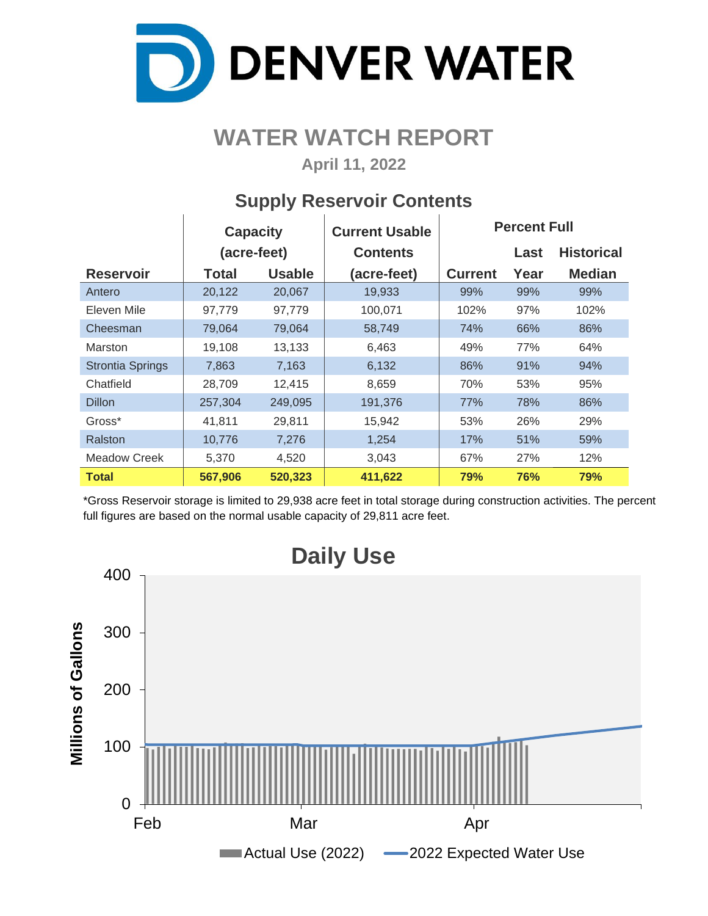

# **WATER WATCH REPORT**

**April 11, 2022**

### **Supply Reservoir Contents**

|                         | <b>Capacity</b> |               | <b>Current Usable</b> | <b>Percent Full</b> |      |                   |  |  |  |
|-------------------------|-----------------|---------------|-----------------------|---------------------|------|-------------------|--|--|--|
|                         | (acre-feet)     |               | <b>Contents</b>       |                     | Last | <b>Historical</b> |  |  |  |
| <b>Reservoir</b>        | <b>Total</b>    | <b>Usable</b> | (acre-feet)           | <b>Current</b>      | Year | <b>Median</b>     |  |  |  |
| Antero                  | 20,122          | 20,067        | 19,933                | 99%                 | 99%  | 99%               |  |  |  |
| Eleven Mile             | 97,779          | 97,779        | 100,071               | 102%                | 97%  | 102%              |  |  |  |
| Cheesman                | 79,064          | 79,064        | 58,749                | 74%                 | 66%  | 86%               |  |  |  |
| Marston                 | 19,108          | 13,133        | 6,463                 | 49%                 | 77%  | 64%               |  |  |  |
| <b>Strontia Springs</b> | 7,863           | 7,163         | 6,132                 | 86%                 | 91%  | 94%               |  |  |  |
| Chatfield               | 28,709          | 12,415        | 8,659                 | 70%                 | 53%  | 95%               |  |  |  |
| <b>Dillon</b>           | 257,304         | 249,095       | 191,376               | 77%                 | 78%  | 86%               |  |  |  |
| Gross*                  | 41,811          | 29,811        | 15,942                | 53%                 | 26%  | 29%               |  |  |  |
| Ralston                 | 10,776          | 7,276         | 1,254                 | 17%                 | 51%  | 59%               |  |  |  |
| <b>Meadow Creek</b>     | 5,370           | 4,520         | 3,043                 | 67%                 | 27%  | 12%               |  |  |  |
| Total                   | 567,906         | 520,323       | 411,622               | 79%                 | 76%  | 79%               |  |  |  |

\*Gross Reservoir storage is limited to 29,938 acre feet in total storage during construction activities. The percent full figures are based on the normal usable capacity of 29,811 acre feet.

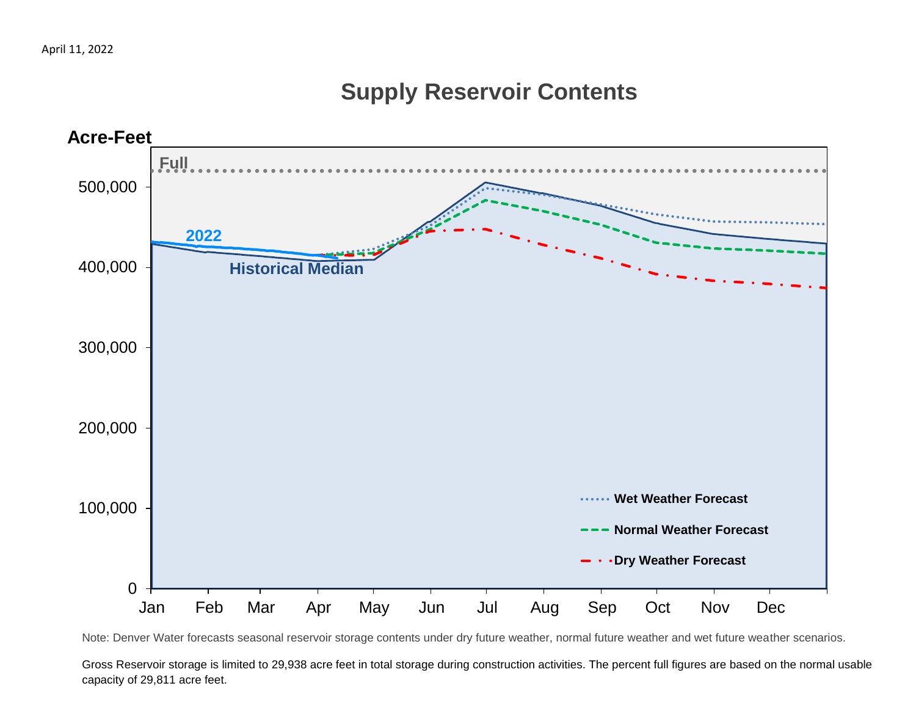# **Supply Reservoir Contents**



Note: Denver Water forecasts seasonal reservoir storage contents under dry future weather, normal future weather and wet future weather scenarios.

Gross Reservoir storage is limited to 29,938 acre feet in total storage during construction activities. The percent full figures are based on the normal usable capacity of 29,811 acre feet.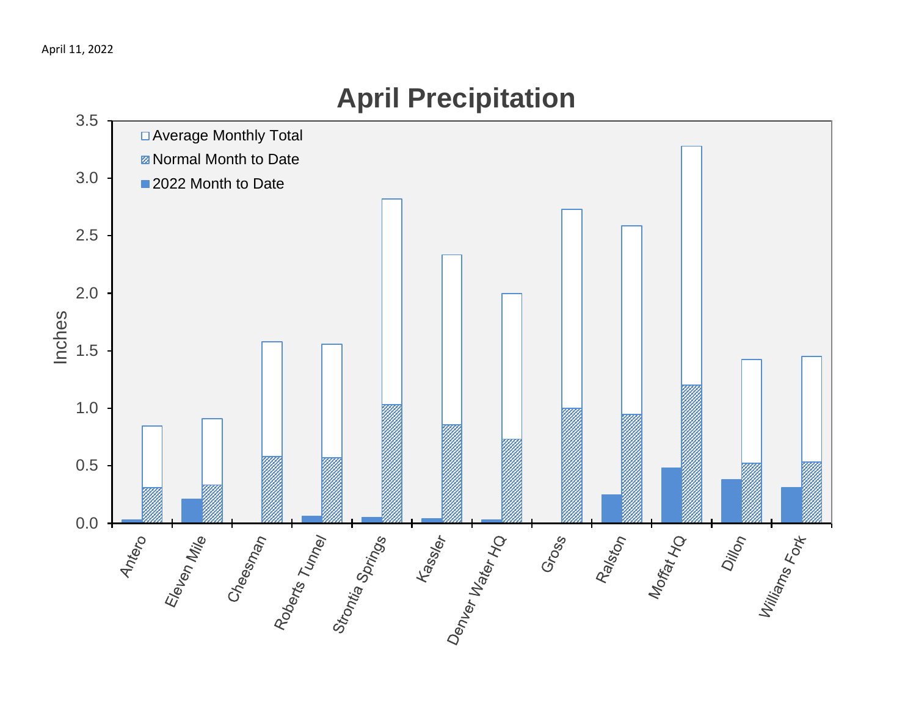

# **April Precipitation**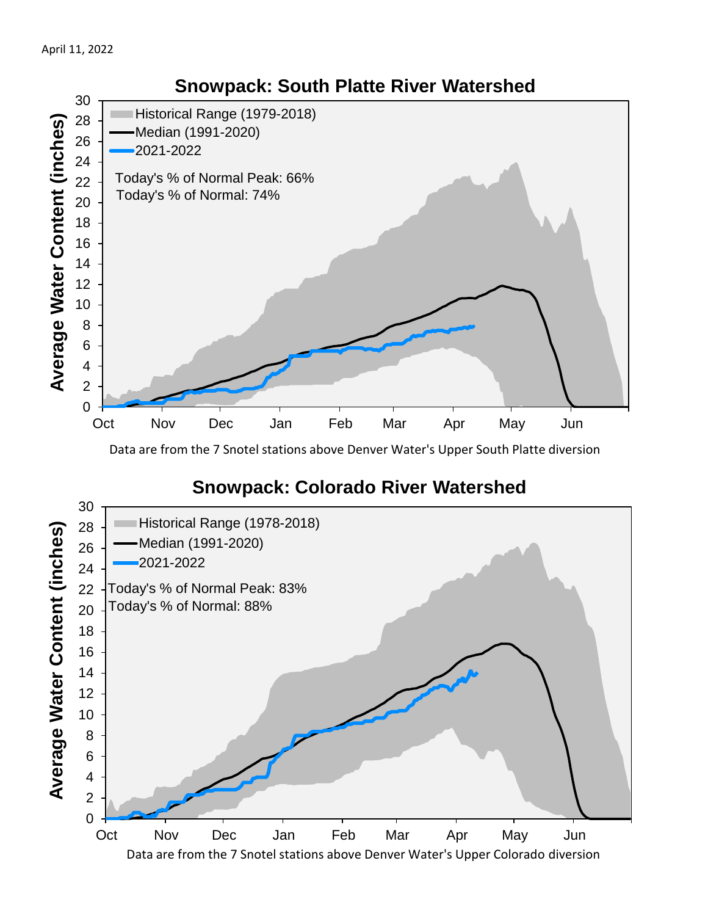

Data are from the 7 Snotel stations above Denver Water's Upper South Platte diversion

#### **Snowpack: Colorado River Watershed**

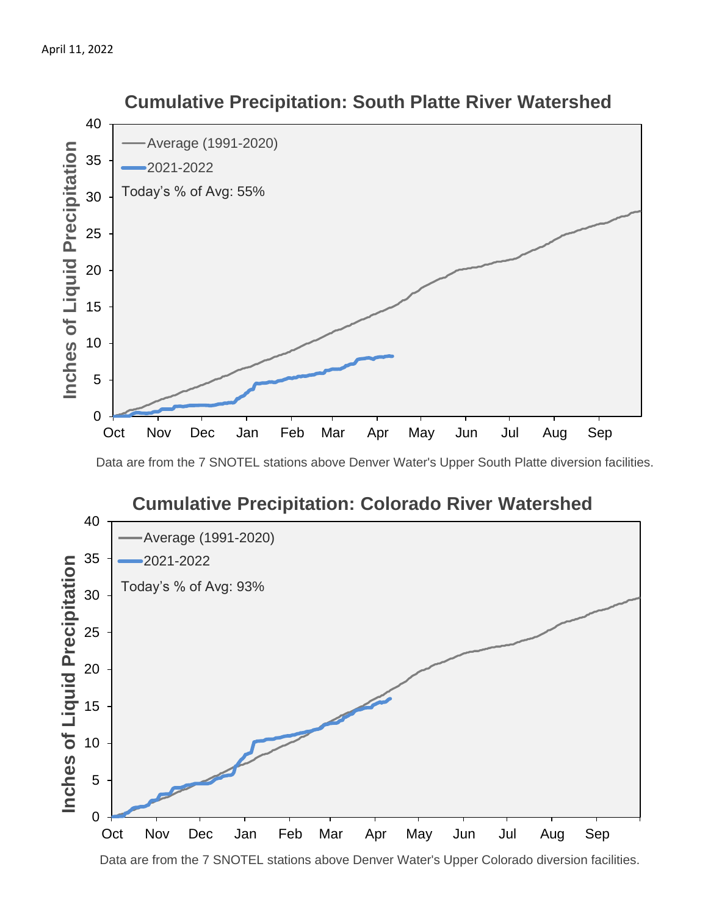

#### **Cumulative Precipitation: South Platte River Watershed**

Data are from the 7 SNOTEL stations above Denver Water's Upper South Platte diversion facilities.



Data are from the 7 SNOTEL stations above Denver Water's Upper Colorado diversion facilities.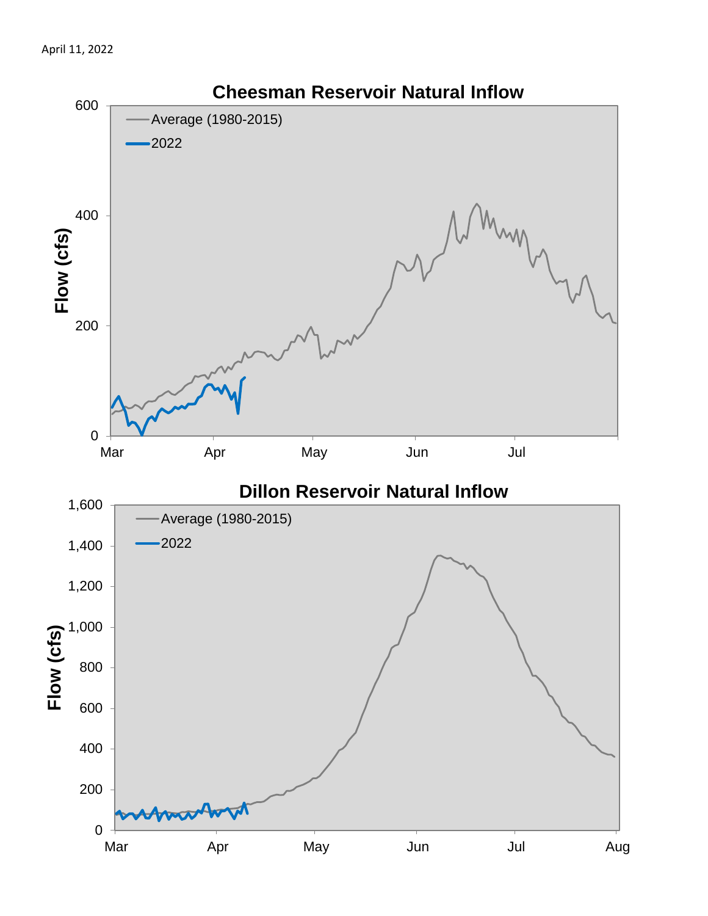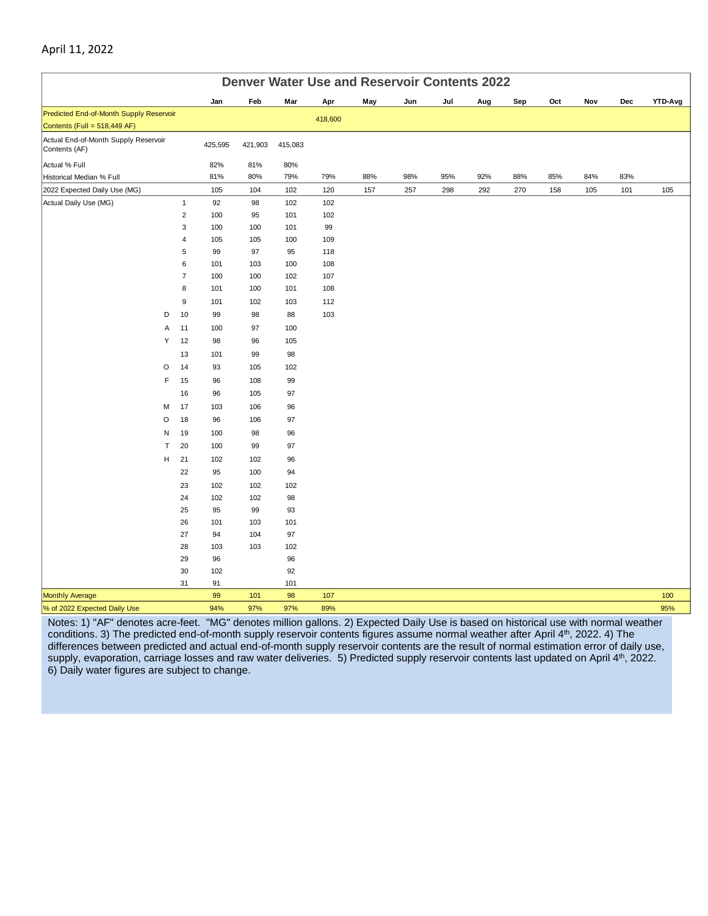| <b>Denver Water Use and Reservoir Contents 2022</b>   |                     |            |            |            |            |     |     |     |     |     |     |     |     |                |
|-------------------------------------------------------|---------------------|------------|------------|------------|------------|-----|-----|-----|-----|-----|-----|-----|-----|----------------|
|                                                       |                     | Jan        | Feb        | Mar        | Apr        | May | Jun | Jul | Aug | Sep | Oct | Nov | Dec | <b>YTD-Avg</b> |
| Predicted End-of-Month Supply Reservoir               |                     |            |            |            | 418,600    |     |     |     |     |     |     |     |     |                |
| Contents (Full = 518,449 AF)                          |                     |            |            |            |            |     |     |     |     |     |     |     |     |                |
| Actual End-of-Month Supply Reservoir<br>Contents (AF) |                     | 425,595    | 421,903    | 415,083    |            |     |     |     |     |     |     |     |     |                |
| Actual % Full                                         |                     | 82%        | 81%        | 80%        |            |     |     |     |     |     |     |     |     |                |
| Historical Median % Full                              |                     | 81%        | 80%        | 79%        | 79%        | 88% | 98% | 95% | 92% | 88% | 85% | 84% | 83% |                |
| 2022 Expected Daily Use (MG)                          |                     | 105        | 104        | 102        | 120        | 157 | 257 | 298 | 292 | 270 | 158 | 105 | 101 | 105            |
| Actual Daily Use (MG)                                 | $\mathbf{1}$        | 92         | 98         | 102        | 102        |     |     |     |     |     |     |     |     |                |
|                                                       | $\overline{2}$      | 100        | 95         | 101        | 102        |     |     |     |     |     |     |     |     |                |
|                                                       | 3                   | 100        | 100        | 101        | 99         |     |     |     |     |     |     |     |     |                |
|                                                       | 4                   | 105        | 105        | 100        | 109        |     |     |     |     |     |     |     |     |                |
|                                                       | 5                   | 99         | 97         | 95         | 118        |     |     |     |     |     |     |     |     |                |
|                                                       | 6<br>$\overline{7}$ | 101<br>100 | 103<br>100 | 100<br>102 | 108<br>107 |     |     |     |     |     |     |     |     |                |
|                                                       | 8                   | 101        | 100        | 101        | 108        |     |     |     |     |     |     |     |     |                |
|                                                       | $\boldsymbol{9}$    | 101        | 102        | 103        | 112        |     |     |     |     |     |     |     |     |                |
| D                                                     | 10                  | 99         | 98         | 88         | 103        |     |     |     |     |     |     |     |     |                |
| Α                                                     | 11                  | 100        | 97         | 100        |            |     |     |     |     |     |     |     |     |                |
| Υ                                                     | 12                  | 98         | 96         | 105        |            |     |     |     |     |     |     |     |     |                |
|                                                       | 13                  | 101        | 99         | 98         |            |     |     |     |     |     |     |     |     |                |
| O                                                     | 14                  | 93         | 105        | 102        |            |     |     |     |     |     |     |     |     |                |
| $\mathsf F$                                           | 15                  | 96         | 108        | 99         |            |     |     |     |     |     |     |     |     |                |
|                                                       | 16                  | 96         | 105        | 97         |            |     |     |     |     |     |     |     |     |                |
| М                                                     | 17                  | 103        | 106        | 96         |            |     |     |     |     |     |     |     |     |                |
| O                                                     | 18                  | 96         | 106        | 97         |            |     |     |     |     |     |     |     |     |                |
| N                                                     | 19                  | 100        | 98         | 96         |            |     |     |     |     |     |     |     |     |                |
| Т                                                     | 20                  | 100        | 99         | 97         |            |     |     |     |     |     |     |     |     |                |
| н                                                     | 21                  | 102        | 102        | 96         |            |     |     |     |     |     |     |     |     |                |
|                                                       | 22                  | 95         | 100        | 94         |            |     |     |     |     |     |     |     |     |                |
|                                                       | 23                  | 102        | 102        | 102        |            |     |     |     |     |     |     |     |     |                |
|                                                       | 24                  | 102        | 102        | 98         |            |     |     |     |     |     |     |     |     |                |
|                                                       | 25                  | 95         | 99         | 93         |            |     |     |     |     |     |     |     |     |                |
|                                                       | 26                  | 101        | 103        | 101        |            |     |     |     |     |     |     |     |     |                |
|                                                       | 27                  | 94         | 104        | 97         |            |     |     |     |     |     |     |     |     |                |
|                                                       | 28                  | 103        | 103        | 102        |            |     |     |     |     |     |     |     |     |                |
|                                                       | 29                  | 96         |            | 96         |            |     |     |     |     |     |     |     |     |                |
|                                                       | $30\,$              | 102        |            | 92         |            |     |     |     |     |     |     |     |     |                |
|                                                       | 31                  | 91         |            | 101        |            |     |     |     |     |     |     |     |     |                |
| <b>Monthly Average</b>                                |                     | 99         | 101        | 98         | 107        |     |     |     |     |     |     |     |     | 100            |
| % of 2022 Expected Daily Use                          |                     | 94%        | 97%        | 97%        | 89%        |     |     |     |     |     |     |     |     | 95%            |

#### Notes: 1) "AF" denotes acre-feet. "MG" denotes million gallons. 2) Expected Daily Use is based on historical use with normal weather conditions. 3) The predicted end-of-month supply reservoir contents figures assume normal weather after April 4th, 2022. 4) The differences between predicted and actual end-of-month supply reservoir contents are the result of normal estimation error of daily use, supply, evaporation, carriage losses and raw water deliveries. 5) Predicted supply reservoir contents last updated on April 4<sup>th</sup>, 2022. 6) Daily water figures are subject to change.